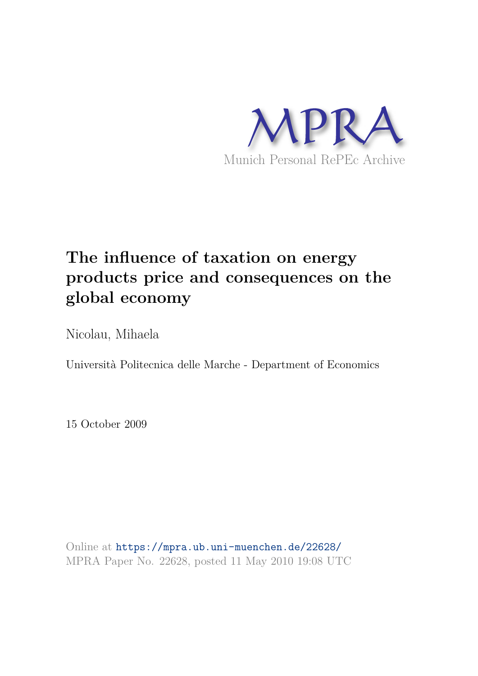

# **The influence of taxation on energy products price and consequences on the global economy**

Nicolau, Mihaela

Università Politecnica delle Marche - Department of Economics

15 October 2009

Online at https://mpra.ub.uni-muenchen.de/22628/ MPRA Paper No. 22628, posted 11 May 2010 19:08 UTC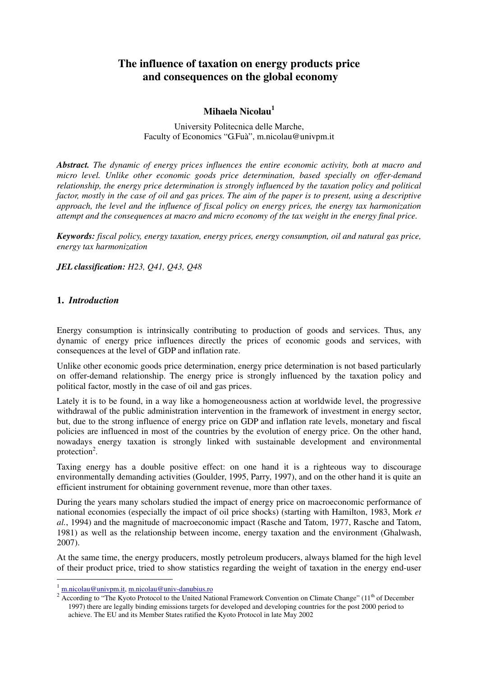# **The influence of taxation on energy products price and consequences on the global economy**

## **Mihaela Nicolau<sup>1</sup>**

University Politecnica delle Marche, Faculty of Economics "G.Fuà", m.nicolau@univpm.it

*Abstract. The dynamic of energy prices influences the entire economic activity, both at macro and micro level. Unlike other economic goods price determination, based specially on offer-demand relationship, the energy price determination is strongly influenced by the taxation policy and political factor, mostly in the case of oil and gas prices. The aim of the paper is to present, using a descriptive approach, the level and the influence of fiscal policy on energy prices, the energy tax harmonization attempt and the consequences at macro and micro economy of the tax weight in the energy final price.* 

*Keywords: fiscal policy, energy taxation, energy prices, energy consumption, oil and natural gas price, energy tax harmonization* 

*JEL classification: H23, Q41, Q43, Q48*

### **1.** *Introduction*

Energy consumption is intrinsically contributing to production of goods and services. Thus, any dynamic of energy price influences directly the prices of economic goods and services, with consequences at the level of GDP and inflation rate.

Unlike other economic goods price determination, energy price determination is not based particularly on offer-demand relationship. The energy price is strongly influenced by the taxation policy and political factor, mostly in the case of oil and gas prices.

Lately it is to be found, in a way like a homogeneousness action at worldwide level, the progressive withdrawal of the public administration intervention in the framework of investment in energy sector, but, due to the strong influence of energy price on GDP and inflation rate levels, monetary and fiscal policies are influenced in most of the countries by the evolution of energy price. On the other hand, nowadays energy taxation is strongly linked with sustainable development and environmental protection<sup>2</sup>.

Taxing energy has a double positive effect: on one hand it is a righteous way to discourage environmentally demanding activities (Goulder, 1995, Parry, 1997), and on the other hand it is quite an efficient instrument for obtaining government revenue, more than other taxes.

During the years many scholars studied the impact of energy price on macroeconomic performance of national economies (especially the impact of oil price shocks) (starting with Hamilton, 1983, Mork *et al.*, 1994) and the magnitude of macroeconomic impact (Rasche and Tatom, 1977, Rasche and Tatom, 1981) as well as the relationship between income, energy taxation and the environment (Ghalwash, 2007).

At the same time, the energy producers, mostly petroleum producers, always blamed for the high level of their product price, tried to show statistics regarding the weight of taxation in the energy end-user

 $\overline{a}$ 

<sup>1</sup> m.nicolau@univpm.it, m.nicolau@univ-danubius.ro

<sup>&</sup>lt;sup>2</sup> According to "The Kyoto Protocol to the United National Framework Convention on Climate Change" (11<sup>th</sup> of December 1997) there are legally binding emissions targets for developed and developing countries for the post 2000 period to achieve. The EU and its Member States ratified the Kyoto Protocol in late May 2002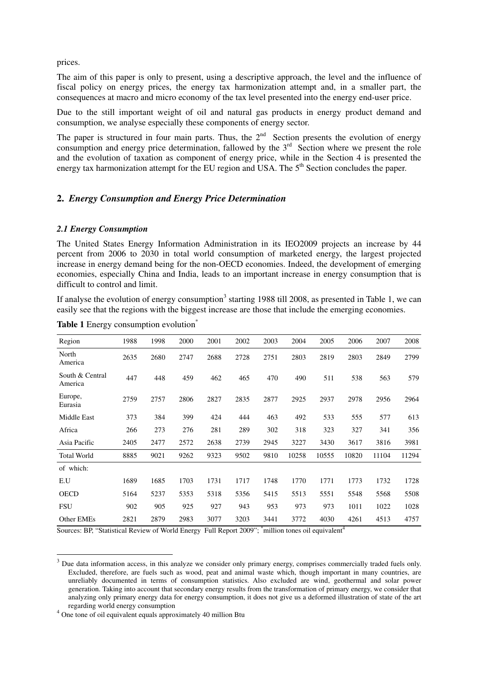prices.

The aim of this paper is only to present, using a descriptive approach, the level and the influence of fiscal policy on energy prices, the energy tax harmonization attempt and, in a smaller part, the consequences at macro and micro economy of the tax level presented into the energy end-user price.

Due to the still important weight of oil and natural gas products in energy product demand and consumption, we analyse especially these components of energy sector.

The paper is structured in four main parts. Thus, the  $2<sup>nd</sup>$  Section presents the evolution of energy consumption and energy price determination, fallowed by the  $3<sup>rd</sup>$  Section where we present the role and the evolution of taxation as component of energy price, while in the Section 4 is presented the energy tax harmonization attempt for the EU region and USA. The 5<sup>th</sup> Section concludes the paper.

#### **2.** *Energy Consumption and Energy Price Determination*

#### *2.1 Energy Consumption*

The United States Energy Information Administration in its IEO2009 projects an increase by 44 percent from 2006 to 2030 in total world consumption of marketed energy, the largest projected increase in energy demand being for the non-OECD economies. Indeed, the development of emerging economies, especially China and India, leads to an important increase in energy consumption that is difficult to control and limit.

If analyse the evolution of energy consumption<sup>3</sup> starting 1988 till 2008, as presented in Table 1, we can easily see that the regions with the biggest increase are those that include the emerging economies.

| Region                     | 1988 | 1998 | 2000 | 2001 | 2002 | 2003 | 2004  | 2005  | 2006  | 2007  | 2008  |
|----------------------------|------|------|------|------|------|------|-------|-------|-------|-------|-------|
| North<br>America           | 2635 | 2680 | 2747 | 2688 | 2728 | 2751 | 2803  | 2819  | 2803  | 2849  | 2799  |
| South & Central<br>America | 447  | 448  | 459  | 462  | 465  | 470  | 490   | 511   | 538   | 563   | 579   |
| Europe,<br>Eurasia         | 2759 | 2757 | 2806 | 2827 | 2835 | 2877 | 2925  | 2937  | 2978  | 2956  | 2964  |
| Middle East                | 373  | 384  | 399  | 424  | 444  | 463  | 492   | 533   | 555   | 577   | 613   |
| Africa                     | 266  | 273  | 276  | 281  | 289  | 302  | 318   | 323   | 327   | 341   | 356   |
| Asia Pacific               | 2405 | 2477 | 2572 | 2638 | 2739 | 2945 | 3227  | 3430  | 3617  | 3816  | 3981  |
| <b>Total World</b>         | 8885 | 9021 | 9262 | 9323 | 9502 | 9810 | 10258 | 10555 | 10820 | 11104 | 11294 |
| of which:                  |      |      |      |      |      |      |       |       |       |       |       |
| E.U                        | 1689 | 1685 | 1703 | 1731 | 1717 | 1748 | 1770  | 1771  | 1773  | 1732  | 1728  |
| <b>OECD</b>                | 5164 | 5237 | 5353 | 5318 | 5356 | 5415 | 5513  | 5551  | 5548  | 5568  | 5508  |
| <b>FSU</b>                 | 902  | 905  | 925  | 927  | 943  | 953  | 973   | 973   | 1011  | 1022  | 1028  |
| Other EMEs                 | 2821 | 2879 | 2983 | 3077 | 3203 | 3441 | 3772  | 4030  | 4261  | 4513  | 4757  |

**Table 1** Energy consumption evolution<sup>\*</sup>

Sources: BP, "Statistical Review of World Energy Full Report 2009"; \*million tones oil equivalent<sup>4</sup>

<sup>&</sup>lt;sup>3</sup> Due data information access, in this analyze we consider only primary energy, comprises commercially traded fuels only. Excluded, therefore, are fuels such as wood, peat and animal waste which, though important in many countries, are unreliably documented in terms of consumption statistics. Also excluded are wind, geothermal and solar power generation. Taking into account that secondary energy results from the transformation of primary energy, we consider that analyzing only primary energy data for energy consumption, it does not give us a deformed illustration of state of the art regarding world energy consumption

<sup>&</sup>lt;sup>4</sup> One tone of oil equivalent equals approximately 40 million Btu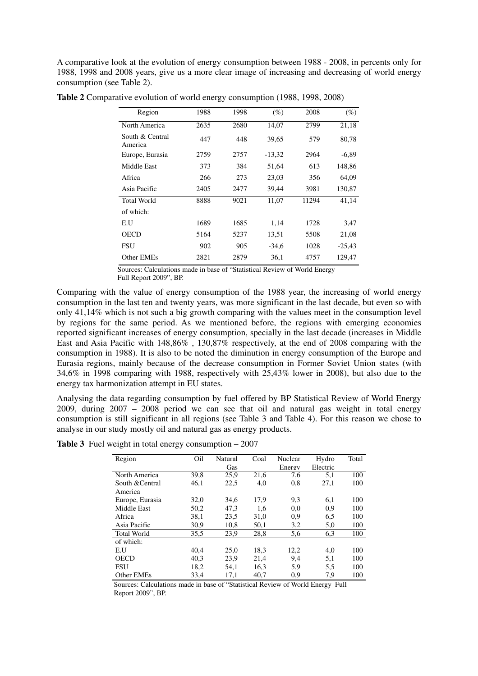A comparative look at the evolution of energy consumption between 1988 - 2008, in percents only for 1988, 1998 and 2008 years, give us a more clear image of increasing and decreasing of world energy consumption (see Table 2).

| Region                     | 1988 | 1998 | $(\%)$   | 2008  | (%)      |
|----------------------------|------|------|----------|-------|----------|
| North America              | 2635 | 2680 | 14,07    | 2799  | 21,18    |
| South & Central<br>America | 447  | 448  | 39,65    | 579   | 80,78    |
| Europe, Eurasia            | 2759 | 2757 | $-13,32$ | 2964  | $-6,89$  |
| Middle East                | 373  | 384  | 51,64    | 613   | 148,86   |
| Africa                     | 266  | 273  | 23,03    | 356   | 64,09    |
| Asia Pacific               | 2405 | 2477 | 39,44    | 3981  | 130,87   |
| <b>Total World</b>         | 8888 | 9021 | 11,07    | 11294 | 41,14    |
| of which:                  |      |      |          |       |          |
| E.U                        | 1689 | 1685 | 1,14     | 1728  | 3,47     |
| OECD                       | 5164 | 5237 | 13,51    | 5508  | 21,08    |
| <b>FSU</b>                 | 902  | 905  | $-34,6$  | 1028  | $-25,43$ |
| Other EMEs                 | 2821 | 2879 | 36,1     | 4757  | 129,47   |

**Table 2** Comparative evolution of world energy consumption (1988, 1998, 2008)

 Sources: Calculations made in base of "Statistical Review of World Energy Full Report 2009", BP.

Comparing with the value of energy consumption of the 1988 year, the increasing of world energy consumption in the last ten and twenty years, was more significant in the last decade, but even so with only 41,14% which is not such a big growth comparing with the values meet in the consumption level by regions for the same period. As we mentioned before, the regions with emerging economies reported significant increases of energy consumption, specially in the last decade (increases in Middle East and Asia Pacific with 148,86% , 130,87% respectively, at the end of 2008 comparing with the consumption in 1988). It is also to be noted the diminution in energy consumption of the Europe and Eurasia regions, mainly because of the decrease consumption in Former Soviet Union states (with 34,6% in 1998 comparing with 1988, respectively with 25,43% lower in 2008), but also due to the energy tax harmonization attempt in EU states.

Analysing the data regarding consumption by fuel offered by BP Statistical Review of World Energy 2009, during 2007 – 2008 period we can see that oil and natural gas weight in total energy consumption is still significant in all regions (see Table 3 and Table 4). For this reason we chose to analyse in our study mostly oil and natural gas as energy products.

**Table 3** Fuel weight in total energy consumption – 2007

|                    | Oil  | Natural | Coal | Nuclear | Hydro    | Total |
|--------------------|------|---------|------|---------|----------|-------|
| Region             |      |         |      |         |          |       |
|                    |      | Gas     |      | Energy  | Electric |       |
| North America      | 39.8 | 25,9    | 21,6 | 7,6     | 5,1      | 100   |
| South & Central    | 46,1 | 22,5    | 4,0  | 0,8     | 27.1     | 100   |
| America            |      |         |      |         |          |       |
| Europe, Eurasia    | 32,0 | 34,6    | 17.9 | 9,3     | 6,1      | 100   |
| Middle East        | 50,2 | 47,3    | 1,6  | 0,0     | 0,9      | 100   |
| Africa             | 38,1 | 23,5    | 31,0 | 0,9     | 6.5      | 100   |
| Asia Pacific       | 30,9 | 10,8    | 50,1 | 3,2     | 5,0      | 100   |
| <b>Total World</b> | 35,5 | 23,9    | 28,8 | 5,6     | 6,3      | 100   |
| of which:          |      |         |      |         |          |       |
| E.U                | 40.4 | 25,0    | 18,3 | 12,2    | 4,0      | 100   |
| <b>OECD</b>        | 40.3 | 23,9    | 21,4 | 9,4     | 5,1      | 100   |
| <b>FSU</b>         | 18,2 | 54,1    | 16,3 | 5,9     | 5.5      | 100   |
| Other EMEs         | 33,4 | 17,1    | 40.7 | 0,9     | 7,9      | 100   |

Sources: Calculations made in base of "Statistical Review of World Energy Full Report 2009", BP.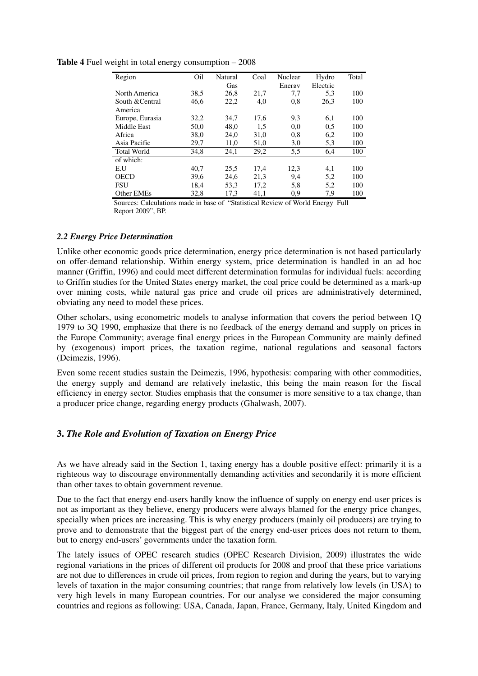| Region             | Oil  | Natural<br>Gas | Coal | Nuclear<br>Energy | Hydro<br>Electric | Total |
|--------------------|------|----------------|------|-------------------|-------------------|-------|
| North America      | 38,5 | 26,8           | 21,7 | 7,7               | 5,3               | 100   |
| South & Central    | 46,6 | 22,2           | 4,0  | 0,8               | 26,3              | 100   |
| America            |      |                |      |                   |                   |       |
| Europe, Eurasia    | 32,2 | 34,7           | 17,6 | 9,3               | 6,1               | 100   |
| Middle East        | 50,0 | 48,0           | 1,5  | 0.0               | 0.5               | 100   |
| Africa             | 38,0 | 24,0           | 31,0 | 0,8               | 6,2               | 100   |
| Asia Pacific       | 29,7 | 11,0           | 51,0 | 3,0               | 5,3               | 100   |
| <b>Total World</b> | 34.8 | 24,1           | 29,2 | 5,5               | 6,4               | 100   |
| of which:          |      |                |      |                   |                   |       |
| E.U                | 40.7 | 25,5           | 17.4 | 12,3              | 4,1               | 100   |
| <b>OECD</b>        | 39.6 | 24,6           | 21,3 | 9,4               | 5,2               | 100   |
| <b>FSU</b>         | 18,4 | 53,3           | 17,2 | 5,8               | 5,2               | 100   |
| Other EMEs         | 32,8 | 17,3           | 41,1 | 0,9               | 7,9               | 100   |

**Table 4** Fuel weight in total energy consumption – 2008

Sources: Calculations made in base of "Statistical Review of World Energy Full Report 2009", BP.

#### *2.2 Energy Price Determination*

Unlike other economic goods price determination, energy price determination is not based particularly on offer-demand relationship. Within energy system, price determination is handled in an ad hoc manner (Griffin, 1996) and could meet different determination formulas for individual fuels: according to Griffin studies for the United States energy market, the coal price could be determined as a mark-up over mining costs, while natural gas price and crude oil prices are administratively determined, obviating any need to model these prices.

Other scholars, using econometric models to analyse information that covers the period between 1Q 1979 to 3Q 1990, emphasize that there is no feedback of the energy demand and supply on prices in the Europe Community; average final energy prices in the European Community are mainly defined by (exogenous) import prices, the taxation regime, national regulations and seasonal factors (Deimezis, 1996).

Even some recent studies sustain the Deimezis, 1996, hypothesis: comparing with other commodities, the energy supply and demand are relatively inelastic, this being the main reason for the fiscal efficiency in energy sector. Studies emphasis that the consumer is more sensitive to a tax change, than a producer price change, regarding energy products (Ghalwash, 2007).

### **3.** *The Role and Evolution of Taxation on Energy Price*

As we have already said in the Section 1, taxing energy has a double positive effect: primarily it is a righteous way to discourage environmentally demanding activities and secondarily it is more efficient than other taxes to obtain government revenue.

Due to the fact that energy end-users hardly know the influence of supply on energy end-user prices is not as important as they believe, energy producers were always blamed for the energy price changes, specially when prices are increasing. This is why energy producers (mainly oil producers) are trying to prove and to demonstrate that the biggest part of the energy end-user prices does not return to them, but to energy end-users' governments under the taxation form.

The lately issues of OPEC research studies (OPEC Research Division, 2009) illustrates the wide regional variations in the prices of different oil products for 2008 and proof that these price variations are not due to differences in crude oil prices, from region to region and during the years, but to varying levels of taxation in the major consuming countries; that range from relatively low levels (in USA) to very high levels in many European countries. For our analyse we considered the major consuming countries and regions as following: USA, Canada, Japan, France, Germany, Italy, United Kingdom and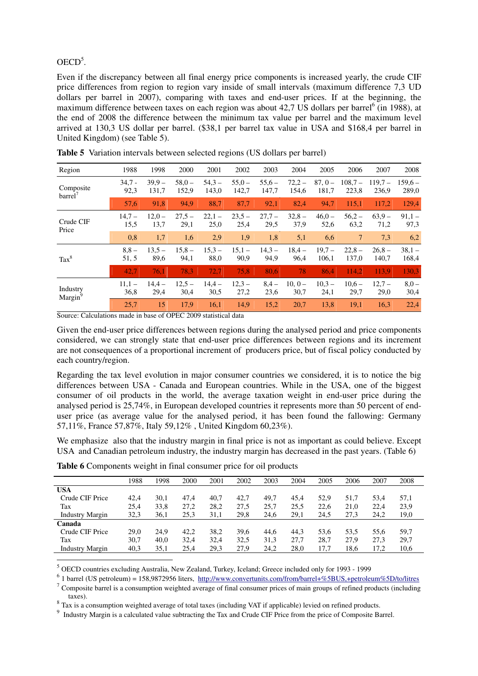## $OECD<sup>5</sup>$ .

Even if the discrepancy between all final energy price components is increased yearly, the crude CIF price differences from region to region vary inside of small intervals (maximum difference 7,3 UD dollars per barrel in 2007), comparing with taxes and end-user prices. If at the beginning, the maximum difference between taxes on each region was about 42,7 US dollars per barrel<sup>6</sup> (in 1988), at the end of 2008 the difference between the minimum tax value per barrel and the maximum level arrived at 130,3 US dollar per barrel. (\$38,1 per barrel tax value in USA and \$168,4 per barrel in United Kingdom) (see Table 5).

| Region                           | 1988             | 1998              | 2000              | 2001              | 2002              | 2003             | 2004              | 2005              | 2006               | 2007               | 2008              |
|----------------------------------|------------------|-------------------|-------------------|-------------------|-------------------|------------------|-------------------|-------------------|--------------------|--------------------|-------------------|
| Composite<br>barrel <sup>'</sup> | $34.7 -$<br>92,3 | $39.9 -$<br>131,7 | $58,0 -$<br>152,9 | $54.3 -$<br>143,0 | $55,0 -$<br>142,7 | $55,6-$<br>147,7 | $72,2 -$<br>154,6 | $87,0-$<br>181,7  | $108.7 -$<br>223,8 | $119.7 -$<br>236,9 | $159,6-$<br>289,0 |
|                                  | 57,6             | 91,8              | 94,9              | 88,7              | 87,7              | 92,1             | 82,4              | 94,7              | 115,1              | 117,2              | 129,4             |
| Crude CIF<br>Price               | $14,7-$<br>15,5  | $12,0 -$<br>13,7  | $27.5 -$<br>29,1  | $22,1-$<br>25,0   | $23,5 -$<br>25,4  | $27.7 -$<br>29,5 | $32,8 -$<br>37,9  | $46,0-$<br>52,6   | $56,2 -$<br>63,2   | $63.9 -$<br>71,2   | $91,1 -$<br>97,3  |
|                                  | 0,8              | 1,7               | 1,6               | 2,9               | 1,9               | 1,8              | 5,1               | 6,6               | $\tau$             | 7,3                | 6,2               |
| $\text{Tax}^8$                   | $8,8-$<br>51, 5  | $13.5 -$<br>89,6  | $15,8-$<br>94,1   | $15.3 -$<br>88,0  | $15,1 -$<br>90,9  | $14.3 -$<br>94,9 | $18,4-$<br>96,4   | $19.7 -$<br>106,1 | $22,8-$<br>137,0   | $26.8 -$<br>140,7  | $38,1-$<br>168,4  |
|                                  | 42,7             | 76.1              | 78.3              | 72,7              | 75.8              | 80.6             | 78                | 86,4              | 114.2              | 113.9              | 130,3             |
| Industry<br>Margin <sup>9</sup>  | $11.1 -$<br>36,8 | $14.4 -$<br>29,4  | $12.5 -$<br>30,4  | $14.4 -$<br>30,5  | $12.3 -$<br>27,2  | $8.4 -$<br>23,6  | $10.0 -$<br>30,7  | $10.3 -$<br>24,1  | $10.6 -$<br>29,7   | $12.7 -$<br>29,0   | $8,0 -$<br>30,4   |
|                                  | 25,7             | 15                | 17,9              | 16,1              | 14,9              | 15,2             | 20,7              | 13,8              | 19,1               | 16,3               | 22,4              |

**Table 5** Variation intervals between selected regions (US dollars per barrel)

Source: Calculations made in base of OPEC 2009 statistical data

Given the end-user price differences between regions during the analysed period and price components considered, we can strongly state that end-user price differences between regions and its increment are not consequences of a proportional increment of producers price, but of fiscal policy conducted by each country/region.

Regarding the tax level evolution in major consumer countries we considered, it is to notice the big differences between USA - Canada and European countries. While in the USA, one of the biggest consumer of oil products in the world, the average taxation weight in end-user price during the analysed period is 25,74%, in European developed countries it represents more than 50 percent of enduser price (as average value for the analysed period, it has been found the fallowing: Germany 57,11%, France 57,87%, Italy 59,12% , United Kingdom 60,23%).

We emphasize also that the industry margin in final price is not as important as could believe. Except USA and Canadian petroleum industry, the industry margin has decreased in the past years. (Table 6)

|                        | 1988 | 1998 | 2000 | 2001 | 2002 | 2003 | 2004 | 2005 | 2006 | 2007 | 2008 |
|------------------------|------|------|------|------|------|------|------|------|------|------|------|
| <b>USA</b>             |      |      |      |      |      |      |      |      |      |      |      |
| Crude CIF Price        | 42.4 | 30.1 | 47.4 | 40.7 | 42.7 | 49,7 | 45.4 | 52.9 | 51.7 | 53.4 | 57,1 |
| Tax                    | 25.4 | 33,8 | 27.2 | 28,2 | 27.5 | 25.7 | 25.5 | 22.6 | 21.0 | 22,4 | 23,9 |
| <b>Industry Margin</b> | 32,3 | 36,1 | 25,3 | 31.1 | 29,8 | 24,6 | 29,1 | 24.5 | 27,3 | 24,2 | 19,0 |
| Canada                 |      |      |      |      |      |      |      |      |      |      |      |
| Crude CIF Price        | 29,0 | 24.9 | 42.2 | 38.2 | 39,6 | 44.6 | 44.3 | 53.6 | 53.5 | 55.6 | 59,7 |
| Tax                    | 30.7 | 40.0 | 32.4 | 32.4 | 32.5 | 31,3 | 27.7 | 28.7 | 27.9 | 27.3 | 29,7 |
| <b>Industry Margin</b> | 40,3 | 35,1 | 25,4 | 29,3 | 27,9 | 24,2 | 28,0 | 17,7 | 18,6 | 17,2 | 10,6 |
|                        |      |      |      |      |      |      |      |      |      |      |      |

**Table 6** Components weight in final consumer price for oil products

5 OECD countries excluding Australia, New Zealand, Turkey, Iceland; Greece included only for 1993 - 1999

 $6$  1 barrel (US petroleum) = 158,9872956 liters, http://www.convertunits.com/from/barrel+%5BUS,+petroleum%5D/to/litres

<sup>7</sup> Composite barrel is a consumption weighted average of final consumer prices of main groups of refined products (including taxes).

 $8$  Tax is a consumption weighted average of total taxes (including VAT if applicable) levied on refined products.

<sup>9</sup> Industry Margin is a calculated value subtracting the Tax and Crude CIF Price from the price of Composite Barrel.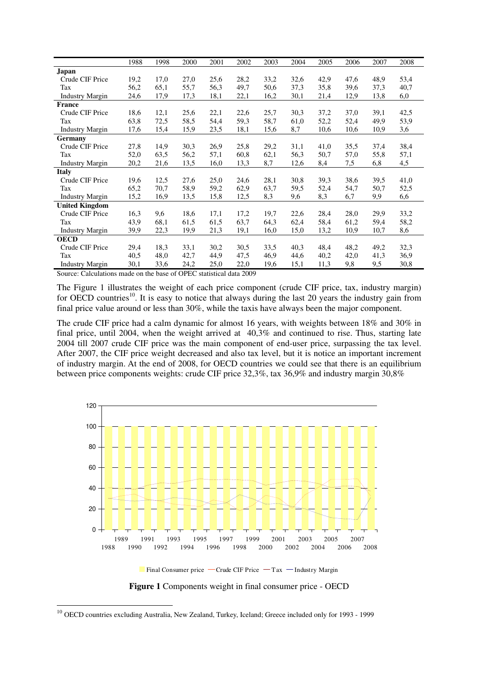| Japan<br>Crude CIF Price<br>19,2<br>17,0<br>25,6<br>28,2<br>33,2<br>32,6<br>42,9<br>47,6<br>48,9<br>53,4<br>27,0<br>56,2<br>55,7<br>56,3<br>49,7<br>50,6<br>37,3<br>39,6<br>37,3<br>65,1<br>35,8<br>40,7<br>Tax<br>17,3<br>16,2<br>13,8<br><b>Industry Margin</b><br>24,6<br>17,9<br>18,1<br>22,1<br>30,1<br>21,4<br>12,9<br>6,0<br><b>France</b><br>22,1<br>22,6<br>25,7<br>37,2<br>37,0<br>39,1<br>42,5<br>Crude CIF Price<br>18,6<br>12,1<br>25,6<br>30,3<br>63,8<br>72,5<br>59,3<br>58,7<br>52,2<br>58,5<br>54,4<br>61,0<br>52,4<br>49,9<br>53,9<br>Tax<br>15,4<br>15,9<br>23,5<br>18,1<br>15,6<br>8,7<br>10,6<br>10,6<br>10,9<br>3,6<br><b>Industry Margin</b><br>17,6<br>Germany |
|----------------------------------------------------------------------------------------------------------------------------------------------------------------------------------------------------------------------------------------------------------------------------------------------------------------------------------------------------------------------------------------------------------------------------------------------------------------------------------------------------------------------------------------------------------------------------------------------------------------------------------------------------------------------------------------|
|                                                                                                                                                                                                                                                                                                                                                                                                                                                                                                                                                                                                                                                                                        |
|                                                                                                                                                                                                                                                                                                                                                                                                                                                                                                                                                                                                                                                                                        |
|                                                                                                                                                                                                                                                                                                                                                                                                                                                                                                                                                                                                                                                                                        |
|                                                                                                                                                                                                                                                                                                                                                                                                                                                                                                                                                                                                                                                                                        |
|                                                                                                                                                                                                                                                                                                                                                                                                                                                                                                                                                                                                                                                                                        |
|                                                                                                                                                                                                                                                                                                                                                                                                                                                                                                                                                                                                                                                                                        |
|                                                                                                                                                                                                                                                                                                                                                                                                                                                                                                                                                                                                                                                                                        |
|                                                                                                                                                                                                                                                                                                                                                                                                                                                                                                                                                                                                                                                                                        |
|                                                                                                                                                                                                                                                                                                                                                                                                                                                                                                                                                                                                                                                                                        |
| 27,8<br>14,9<br>25,8<br>35,5<br>38,4<br>Crude CIF Price<br>30,3<br>26,9<br>29,2<br>31,1<br>41,0<br>37,4                                                                                                                                                                                                                                                                                                                                                                                                                                                                                                                                                                                |
| 56,2<br>60,8<br>62,1<br>56,3<br>52,0<br>63.5<br>57,1<br>50,7<br>57,0<br>55,8<br>Tax<br>57,1                                                                                                                                                                                                                                                                                                                                                                                                                                                                                                                                                                                            |
| 13,5<br>8,7<br>20,2<br>21,6<br>16,0<br>13,3<br>12,6<br>8,4<br>7,5<br>6,8<br>4,5<br><b>Industry Margin</b>                                                                                                                                                                                                                                                                                                                                                                                                                                                                                                                                                                              |
| <b>Italy</b>                                                                                                                                                                                                                                                                                                                                                                                                                                                                                                                                                                                                                                                                           |
| 12,5<br>27,6<br>25,0<br>28,1<br>30,8<br>39,3<br>38,6<br>39,5<br>41,0<br>Crude CIF Price<br>19,6<br>24,6                                                                                                                                                                                                                                                                                                                                                                                                                                                                                                                                                                                |
| 65,2<br>58,9<br>62,9<br>70,7<br>59,2<br>63,7<br>59,5<br>52,4<br>54,7<br>50,7<br>52,5<br>Tax                                                                                                                                                                                                                                                                                                                                                                                                                                                                                                                                                                                            |
| 15,2<br>16,9<br>15,8<br>8,3<br>8,3<br>6,6<br>13,5<br>12,5<br>9,6<br>6,7<br>9,9<br><b>Industry Margin</b>                                                                                                                                                                                                                                                                                                                                                                                                                                                                                                                                                                               |
| <b>United Kingdom</b>                                                                                                                                                                                                                                                                                                                                                                                                                                                                                                                                                                                                                                                                  |
| Crude CIF Price<br>22,6<br>33,2<br>16,3<br>9,6<br>18,6<br>17,1<br>17,2<br>19,7<br>28,4<br>28,0<br>29,9                                                                                                                                                                                                                                                                                                                                                                                                                                                                                                                                                                                 |
| 43,9<br>68,1<br>61,5<br>61,5<br>63,7<br>64,3<br>62,4<br>58,4<br>61,2<br>59,4<br>58,2<br>Tax                                                                                                                                                                                                                                                                                                                                                                                                                                                                                                                                                                                            |
| 39,9<br>22,3<br>19,9<br>21,3<br>19,1<br>16,0<br>15,0<br>13,2<br>10,9<br>10,7<br>8,6<br><b>Industry Margin</b>                                                                                                                                                                                                                                                                                                                                                                                                                                                                                                                                                                          |
| <b>OECD</b>                                                                                                                                                                                                                                                                                                                                                                                                                                                                                                                                                                                                                                                                            |
| Crude CIF Price<br>29,4<br>18,3<br>33,1<br>30,2<br>30,5<br>33,5<br>40,3<br>48,4<br>48,2<br>49,2<br>32,3                                                                                                                                                                                                                                                                                                                                                                                                                                                                                                                                                                                |
| 40,5<br>36,9<br>48,0<br>42,7<br>44,9<br>47,5<br>46,9<br>44,6<br>40,2<br>42,0<br>41,3<br>Tax                                                                                                                                                                                                                                                                                                                                                                                                                                                                                                                                                                                            |
| 30,1<br>33,6<br>24,2<br>25,0<br>22,0<br>9,8<br>9,5<br>30,8<br><b>Industry Margin</b><br>19,6<br>15,1<br>11,3                                                                                                                                                                                                                                                                                                                                                                                                                                                                                                                                                                           |

Source: Calculations made on the base of OPEC statistical data 2009

The Figure 1 illustrates the weight of each price component (crude CIF price, tax, industry margin) for OECD countries<sup>10</sup>. It is easy to notice that always during the last 20 years the industry gain from final price value around or less than 30%, while the taxis have always been the major component.

The crude CIF price had a calm dynamic for almost 16 years, with weights between 18% and 30% in final price, until 2004, when the weight arrived at 40,3% and continued to rise. Thus, starting late 2004 till 2007 crude CIF price was the main component of end-user price, surpassing the tax level. After 2007, the CIF price weight decreased and also tax level, but it is notice an important increment of industry margin. At the end of 2008, for OECD countries we could see that there is an equilibrium between price components weights: crude CIF price 32,3%, tax 36,9% and industry margin 30,8%



**Figure 1** Components weight in final consumer price - OECD

 $\overline{a}$ 

<sup>&</sup>lt;sup>10</sup> OECD countries excluding Australia, New Zealand, Turkey, Iceland; Greece included only for 1993 - 1999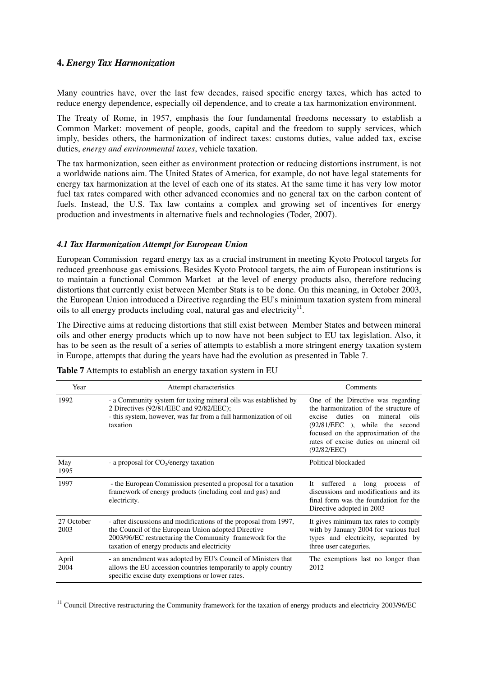#### **4.** *Energy Tax Harmonization*

Many countries have, over the last few decades, raised specific energy taxes, which has acted to reduce energy dependence, especially oil dependence, and to create a tax harmonization environment.

The Treaty of Rome, in 1957, emphasis the four fundamental freedoms necessary to establish a Common Market: movement of people, goods, capital and the freedom to supply services, which imply, besides others, the harmonization of indirect taxes: customs duties, value added tax, excise duties, *energy and environmental taxes*, vehicle taxation.

The tax harmonization, seen either as environment protection or reducing distortions instrument, is not a worldwide nations aim. The United States of America, for example, do not have legal statements for energy tax harmonization at the level of each one of its states. At the same time it has very low motor fuel tax rates compared with other advanced economies and no general tax on the carbon content of fuels. Instead, the U.S. Tax law contains a complex and growing set of incentives for energy production and investments in alternative fuels and technologies (Toder, 2007).

#### *4.1 Tax Harmonization Attempt for European Union*

European Commission regard energy tax as a crucial instrument in meeting Kyoto Protocol targets for reduced greenhouse gas emissions. Besides Kyoto Protocol targets, the aim of European institutions is to maintain a functional Common Market at the level of energy products also, therefore reducing distortions that currently exist between Member Stats is to be done. On this meaning, in October 2003, the European Union introduced a Directive regarding the EU's minimum taxation system from mineral oils to all energy products including coal, natural gas and electricity $^{11}$ .

The Directive aims at reducing distortions that still exist between Member States and between mineral oils and other energy products which up to now have not been subject to EU tax legislation. Also, it has to be seen as the result of a series of attempts to establish a more stringent energy taxation system in Europe, attempts that during the years have had the evolution as presented in Table 7.

| Year               | Attempt characteristics                                                                                                                                                                                                            | Comments                                                                                                                                                                                                                                                               |
|--------------------|------------------------------------------------------------------------------------------------------------------------------------------------------------------------------------------------------------------------------------|------------------------------------------------------------------------------------------------------------------------------------------------------------------------------------------------------------------------------------------------------------------------|
| 1992               | - a Community system for taxing mineral oils was established by<br>2 Directives (92/81/EEC and 92/82/EEC);<br>- this system, however, was far from a full harmonization of oil<br>taxation                                         | One of the Directive was regarding<br>the harmonization of the structure of<br>duties<br>mineral<br>oils<br>excise<br>$\alpha$ n<br>$(92/81/EEC)$ ,<br>while the second<br>focused on the approximation of the<br>rates of excise duties on mineral oil<br>(92/82/EEC) |
| May<br>1995        | - a proposal for $CO2/energy$ taxation                                                                                                                                                                                             | Political blockaded                                                                                                                                                                                                                                                    |
| 1997               | - the European Commission presented a proposal for a taxation<br>framework of energy products (including coal and gas) and<br>electricity.                                                                                         | suffered<br>long process<br>It<br>a<br>- of<br>discussions and modifications and its<br>final form was the foundation for the<br>Directive adopted in 2003                                                                                                             |
| 27 October<br>2003 | - after discussions and modifications of the proposal from 1997,<br>the Council of the European Union adopted Directive<br>2003/96/EC restructuring the Community framework for the<br>taxation of energy products and electricity | It gives minimum tax rates to comply<br>with by January 2004 for various fuel<br>types and electricity, separated by<br>three user categories.                                                                                                                         |
| April<br>2004      | - an amendment was adopted by EU's Council of Ministers that<br>allows the EU accession countries temporarily to apply country<br>specific excise duty exemptions or lower rates.                                                  | The exemptions last no longer than<br>2012                                                                                                                                                                                                                             |

**Table 7** Attempts to establish an energy taxation system in EU

 $\overline{a}$ 

 $11$  Council Directive restructuring the Community framework for the taxation of energy products and electricity 2003/96/EC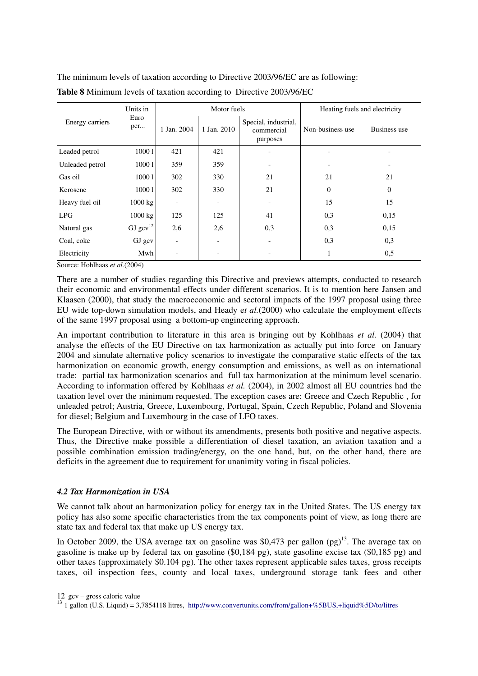The minimum levels of taxation according to Directive 2003/96/EC are as following:

|                 | Units in          |                          | Motor fuels |                                                | Heating fuels and electricity |                |
|-----------------|-------------------|--------------------------|-------------|------------------------------------------------|-------------------------------|----------------|
| Energy carriers | Euro<br>per       | 1 Jan. 2004              | 1 Jan. 2010 | Special, industrial,<br>commercial<br>purposes | Non-business use              | Business use   |
| Leaded petrol   | 10001             | 421                      | 421         |                                                |                               |                |
| Unleaded petrol | 10001             | 359                      | 359         |                                                |                               |                |
| Gas oil         | 10001             | 302                      | 330         | 21                                             | 21                            | 21             |
| Kerosene        | 10001             | 302                      | 330         | 21                                             | $\overline{0}$                | $\overline{0}$ |
| Heavy fuel oil  | 1000 kg           | $\overline{\phantom{a}}$ |             |                                                | 15                            | 15             |
| LPG             | $1000 \text{ kg}$ | 125                      | 125         | 41                                             | 0,3                           | 0,15           |
| Natural gas     | GJ $gcv^{12}$     | 2,6                      | 2,6         | 0,3                                            | 0,3                           | 0.15           |
| Coal, coke      | GJ gcv            | $\overline{\phantom{a}}$ |             |                                                | 0,3                           | 0,3            |
| Electricity     | Mwh               |                          |             |                                                |                               | 0,5            |

Source: Hohlhaas *et al.*(2004)

There are a number of studies regarding this Directive and previews attempts, conducted to research their economic and environmental effects under different scenarios. It is to mention here Jansen and Klaasen (2000), that study the macroeconomic and sectoral impacts of the 1997 proposal using three EU wide top-down simulation models, and Heady e*t al.*(2000) who calculate the employment effects of the same 1997 proposal using a bottom-up engineering approach.

An important contribution to literature in this area is bringing out by Kohlhaas *et al.* (2004) that analyse the effects of the EU Directive on tax harmonization as actually put into force on January 2004 and simulate alternative policy scenarios to investigate the comparative static effects of the tax harmonization on economic growth, energy consumption and emissions, as well as on international trade: partial tax harmonization scenarios and full tax harmonization at the minimum level scenario. According to information offered by Kohlhaas *et al.* (2004), in 2002 almost all EU countries had the taxation level over the minimum requested. The exception cases are: Greece and Czech Republic , for unleaded petrol; Austria, Greece, Luxembourg, Portugal, Spain, Czech Republic, Poland and Slovenia for diesel; Belgium and Luxembourg in the case of LFO taxes.

The European Directive, with or without its amendments, presents both positive and negative aspects. Thus, the Directive make possible a differentiation of diesel taxation, an aviation taxation and a possible combination emission trading/energy, on the one hand, but, on the other hand, there are deficits in the agreement due to requirement for unanimity voting in fiscal policies.

## *4.2 Tax Harmonization in USA*

We cannot talk about an harmonization policy for energy tax in the United States. The US energy tax policy has also some specific characteristics from the tax components point of view, as long there are state tax and federal tax that make up US energy tax.

In October 2009, the USA average tax on gasoline was \$0,473 per gallon  $(pg)^{13}$ . The average tax on gasoline is make up by federal tax on gasoline (\$0,184 pg), state gasoline excise tax (\$0,185 pg) and other taxes (approximately \$0.104 pg). The other taxes represent applicable sales taxes, gross receipts taxes, oil inspection fees, county and local taxes, underground storage tank fees and other

<u>.</u>

<sup>12</sup> gcv – gross caloric value

<sup>&</sup>lt;sup>13</sup> 1 gallon (U.S. Liquid) = 3,7854118 litres, http://www.convertunits.com/from/gallon+%5BUS,+liquid%5D/to/litres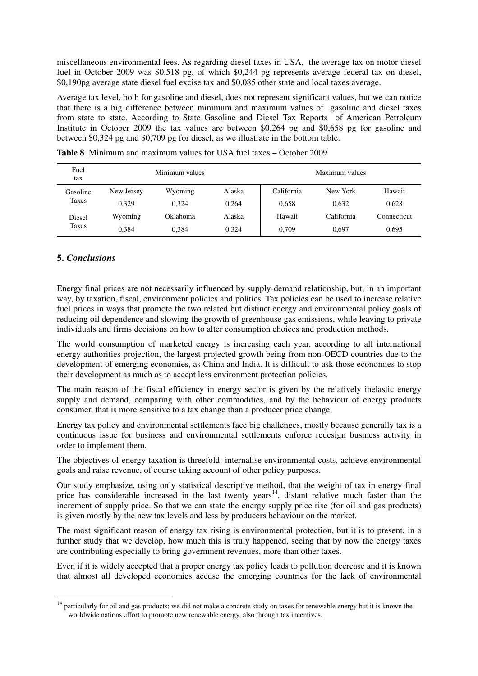miscellaneous environmental fees. As regarding diesel taxes in USA, the average tax on motor diesel fuel in October 2009 was \$0,518 pg, of which \$0,244 pg represents average federal tax on diesel, \$0,190pg average state diesel fuel excise tax and \$0,085 other state and local taxes average.

Average tax level, both for gasoline and diesel, does not represent significant values, but we can notice that there is a big difference between minimum and maximum values of gasoline and diesel taxes from state to state. According to State Gasoline and Diesel Tax Reports of American Petroleum Institute in October 2009 the tax values are between \$0,264 pg and \$0,658 pg for gasoline and between \$0,324 pg and \$0,709 pg for diesel, as we illustrate in the bottom table.

| Fuel<br>tax |            | Minimum values |        |            | Maximum values |             |
|-------------|------------|----------------|--------|------------|----------------|-------------|
| Gasoline    | New Jersey | Wyoming        | Alaska | California | New York       | Hawaii      |
| Taxes       | 0.329      | 0.324          | 0.264  | 0,658      | 0.632          | 0,628       |
| Diesel      | Wyoming    | Oklahoma       | Alaska | Hawaii     | California     | Connecticut |
| Taxes       | 0.384      | 0.384          | 0.324  | 0.709      | 0.697          | 0,695       |

**Table 8** Minimum and maximum values for USA fuel taxes – October 2009

## **5.** *Conclusions*

 $\overline{a}$ 

Energy final prices are not necessarily influenced by supply-demand relationship, but, in an important way, by taxation, fiscal, environment policies and politics. Tax policies can be used to increase relative fuel prices in ways that promote the two related but distinct energy and environmental policy goals of reducing oil dependence and slowing the growth of greenhouse gas emissions, while leaving to private individuals and firms decisions on how to alter consumption choices and production methods.

The world consumption of marketed energy is increasing each year, according to all international energy authorities projection, the largest projected growth being from non-OECD countries due to the development of emerging economies, as China and India. It is difficult to ask those economies to stop their development as much as to accept less environment protection policies.

The main reason of the fiscal efficiency in energy sector is given by the relatively inelastic energy supply and demand, comparing with other commodities, and by the behaviour of energy products consumer, that is more sensitive to a tax change than a producer price change.

Energy tax policy and environmental settlements face big challenges, mostly because generally tax is a continuous issue for business and environmental settlements enforce redesign business activity in order to implement them.

The objectives of energy taxation is threefold: internalise environmental costs, achieve environmental goals and raise revenue, of course taking account of other policy purposes.

Our study emphasize, using only statistical descriptive method, that the weight of tax in energy final price has considerable increased in the last twenty years<sup>14</sup>, distant relative much faster than the increment of supply price. So that we can state the energy supply price rise (for oil and gas products) is given mostly by the new tax levels and less by producers behaviour on the market.

The most significant reason of energy tax rising is environmental protection, but it is to present, in a further study that we develop, how much this is truly happened, seeing that by now the energy taxes are contributing especially to bring government revenues, more than other taxes.

Even if it is widely accepted that a proper energy tax policy leads to pollution decrease and it is known that almost all developed economies accuse the emerging countries for the lack of environmental

 $14$  particularly for oil and gas products; we did not make a concrete study on taxes for renewable energy but it is known the worldwide nations effort to promote new renewable energy, also through tax incentives.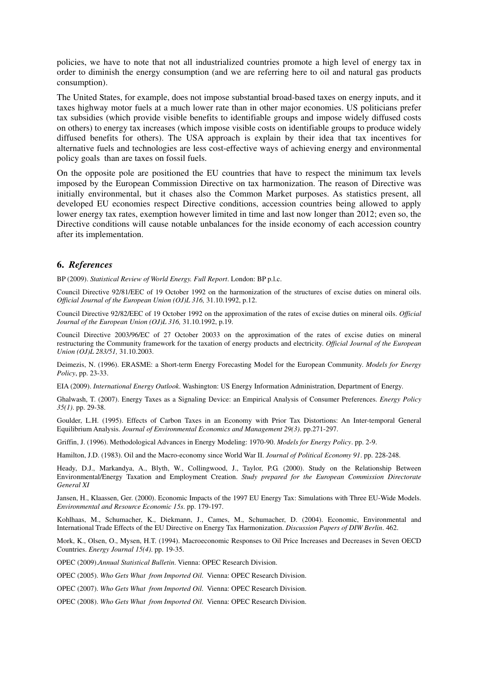policies, we have to note that not all industrialized countries promote a high level of energy tax in order to diminish the energy consumption (and we are referring here to oil and natural gas products consumption).

The United States, for example, does not impose substantial broad-based taxes on energy inputs, and it taxes highway motor fuels at a much lower rate than in other major economies. US politicians prefer tax subsidies (which provide visible benefits to identifiable groups and impose widely diffused costs on others) to energy tax increases (which impose visible costs on identifiable groups to produce widely diffused benefits for others). The USA approach is explain by their idea that tax incentives for alternative fuels and technologies are less cost-effective ways of achieving energy and environmental policy goals than are taxes on fossil fuels.

On the opposite pole are positioned the EU countries that have to respect the minimum tax levels imposed by the European Commission Directive on tax harmonization. The reason of Directive was initially environmental, but it chases also the Common Market purposes. As statistics present, all developed EU economies respect Directive conditions, accession countries being allowed to apply lower energy tax rates, exemption however limited in time and last now longer than 2012; even so, the Directive conditions will cause notable unbalances for the inside economy of each accession country after its implementation.

#### **6.** *References*

BP (2009). *Statistical Review of World Energy. Full Report*. London: BP p.l.c.

Council Directive 92/81/EEC of 19 October 1992 on the harmonization of the structures of excise duties on mineral oils. *Official Journal of the European Union (OJ)L 316,* 31.10.1992, p.12.

Council Directive 92/82/EEC of 19 October 1992 on the approximation of the rates of excise duties on mineral oils. *Official Journal of the European Union (OJ)L 316,* 31.10.1992, p.19.

Council Directive 2003/96/EC of 27 October 20033 on the approximation of the rates of excise duties on mineral restructuring the Community framework for the taxation of energy products and electricity. *Official Journal of the European Union (OJ)L 283/51,* 31.10.2003.

Deimezis, N. (1996). ERASME: a Short-term Energy Forecasting Model for the European Community. *Models for Energy Policy*, pp. 23-33.

EIA (2009). *International Energy Outlook*. Washington: US Energy Information Administration, Department of Energy.

Ghalwash, T. (2007). Energy Taxes as a Signaling Device: an Empirical Analysis of Consumer Preferences. *Energy Policy 35(1)*. pp. 29-38.

Goulder, L.H. (1995). Effects of Carbon Taxes in an Economy with Prior Tax Distortions: An Inter-temporal General Equilibrium Analysis. *Journal of Environmental Economics and Management 29(3)*. pp.271-297.

Griffin, J. (1996). Methodological Advances in Energy Modeling: 1970-90. *Models for Energy Policy*. pp. 2-9.

Hamilton, J.D. (1983). Oil and the Macro-economy since World War II. *Journal of Political Economy 91*. pp. 228-248.

Heady, D.J., Markandya, A., Blyth, W., Collingwood, J., Taylor, P.G. (2000). Study on the Relationship Between Environmental/Energy Taxation and Employment Creation. *Study prepared for the European Commission Directorate General XI* 

Jansen, H., Klaassen, Ger. (2000). Economic Impacts of the 1997 EU Energy Tax: Simulations with Three EU-Wide Models. *Environmental and Resource Economic 15s*. pp. 179-197.

Kohlhaas, M., Schumacher, K., Diekmann, J., Cames, M., Schumacher, D. (2004). Economic, Environmental and International Trade Effects of the EU Directive on Energy Tax Harmonization. *Discussion Papers of DIW Berlin*. 462.

Mork, K., Olsen, O., Mysen, H.T. (1994). Macroeconomic Responses to Oil Price Increases and Decreases in Seven OECD Countries. *Energy Journal 15(4)*. pp. 19-35.

OPEC (2009).*Annual Statistical Bulletin*. Vienna: OPEC Research Division.

OPEC (2005). *Who Gets What from Imported Oil*. Vienna: OPEC Research Division.

OPEC (2007). *Who Gets What from Imported Oil*. Vienna: OPEC Research Division.

OPEC (2008). *Who Gets What from Imported Oil*. Vienna: OPEC Research Division.